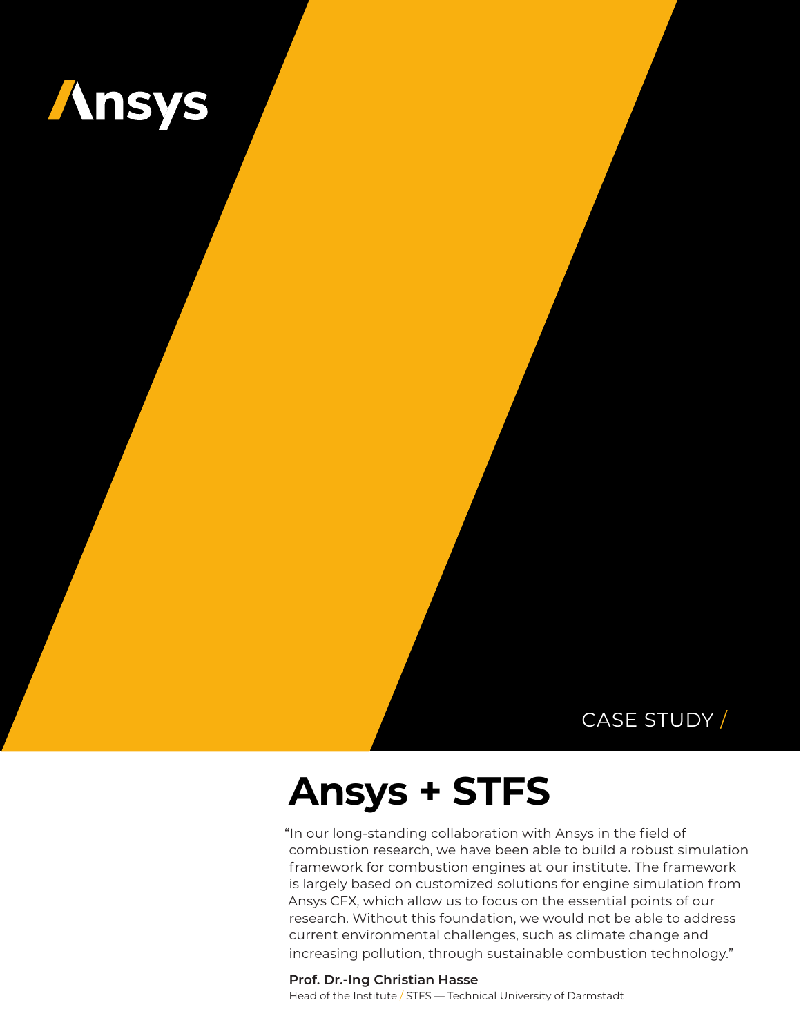

### CASE STUDY /

# **Ansys + STFS**

"In our long-standing collaboration with Ansys in the field of combustion research, we have been able to build a robust simulation framework for combustion engines at our institute. The framework is largely based on customized solutions for engine simulation from Ansys CFX, which allow us to focus on the essential points of our research. Without this foundation, we would not be able to address current environmental challenges, such as climate change and increasing pollution, through sustainable combustion technology."

**Prof. Dr.-Ing Christian Hasse** Head of the Institute / STFS — Technical University of Darmstadt